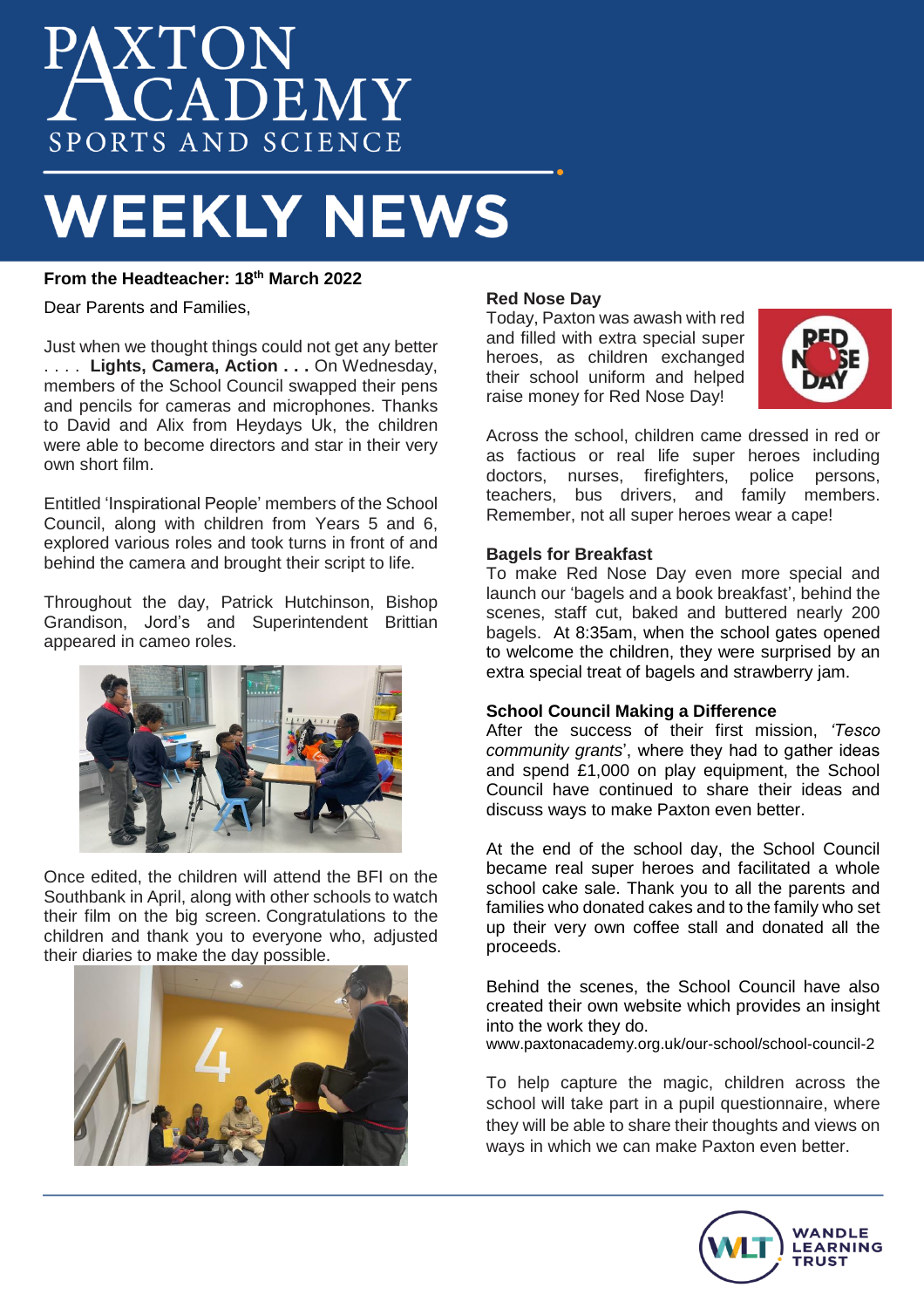# XTON<br> **ICADEMY** SPORTS AND SCIENCE

# **WEEKLY NEWS**

# **From the Headteacher: 18th March 2022**

Dear Parents and Families,

Just when we thought things could not get any better . . . . **Lights, Camera, Action . . .** On Wednesday, members of the School Council swapped their pens and pencils for cameras and microphones. Thanks to David and Alix from Heydays Uk, the children were able to become directors and star in their very own short film.

Entitled 'Inspirational People' members of the School Council, along with children from Years 5 and 6, explored various roles and took turns in front of and behind the camera and brought their script to life.

Throughout the day, Patrick Hutchinson, Bishop Grandison, Jord's and Superintendent Brittian appeared in cameo roles.



Once edited, the children will attend the BFI on the Southbank in April, along with other schools to watch their film on the big screen. Congratulations to the children and thank you to everyone who, adjusted their diaries to make the day possible.



# **Red Nose Day**

Today, Paxton was awash with red and filled with extra special super heroes, as children exchanged their school uniform and helped raise money for Red Nose Day!



Across the school, children came dressed in red or as factious or real life super heroes including doctors, nurses, firefighters, police persons, teachers, bus drivers, and family members. Remember, not all super heroes wear a cape!

## **Bagels for Breakfast**

To make Red Nose Day even more special and launch our 'bagels and a book breakfast', behind the scenes, staff cut, baked and buttered nearly 200 bagels. At 8:35am, when the school gates opened to welcome the children, they were surprised by an extra special treat of bagels and strawberry jam.

## **School Council Making a Difference**

After the success of their first mission, *'Tesco community grants*', where they had to gather ideas and spend £1,000 on play equipment, the School Council have continued to share their ideas and discuss ways to make Paxton even better.

At the end of the school day, the School Council became real super heroes and facilitated a whole school cake sale. Thank you to all the parents and families who donated cakes and to the family who set up their very own coffee stall and donated all the proceeds.

Behind the scenes, the School Council have also created their own website which provides an insight into the work they do.

www.paxtonacademy.org.uk/our-school/school-council-2

To help capture the magic, children across the school will take part in a pupil questionnaire, where they will be able to share their thoughts and views on ways in which we can make Paxton even better.